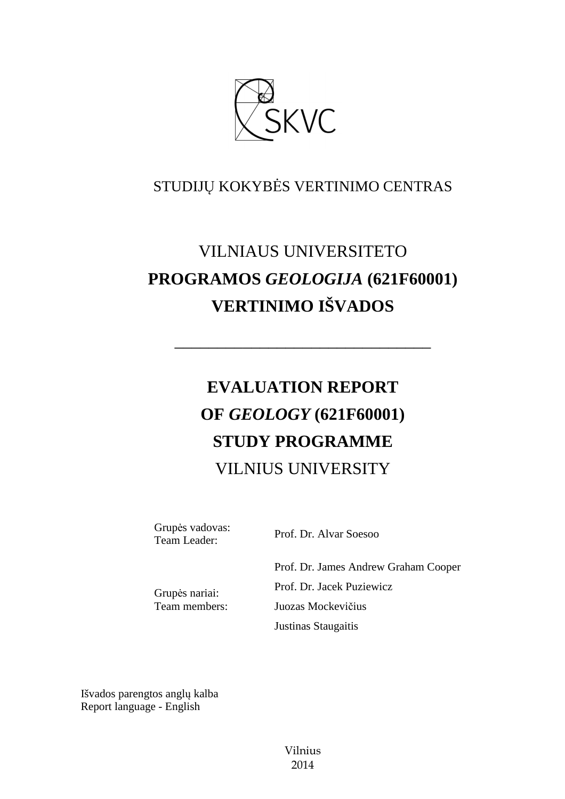

# STUDIJŲ KOKYBĖS VERTINIMO CENTRAS

# VILNIAUS UNIVERSITETO **PROGRAMOS** *GEOLOGIJA* **(621F60001) VERTINIMO IŠVADOS**

––––––––––––––––––––––––––––––

# **EVALUATION REPORT OF** *GEOLOGY* **(621F60001) STUDY PROGRAMME**  VILNIUS UNIVERSITY

Grupės vadovas:

Team Leader: Prof. Dr. Alvar Soesoo

Grupės nariai: Team members: Prof. Dr. James Andrew Graham Cooper Prof. Dr. Jacek Puziewicz Juozas Mockevičius Justinas Staugaitis

Išvados parengtos anglų kalba Report language - English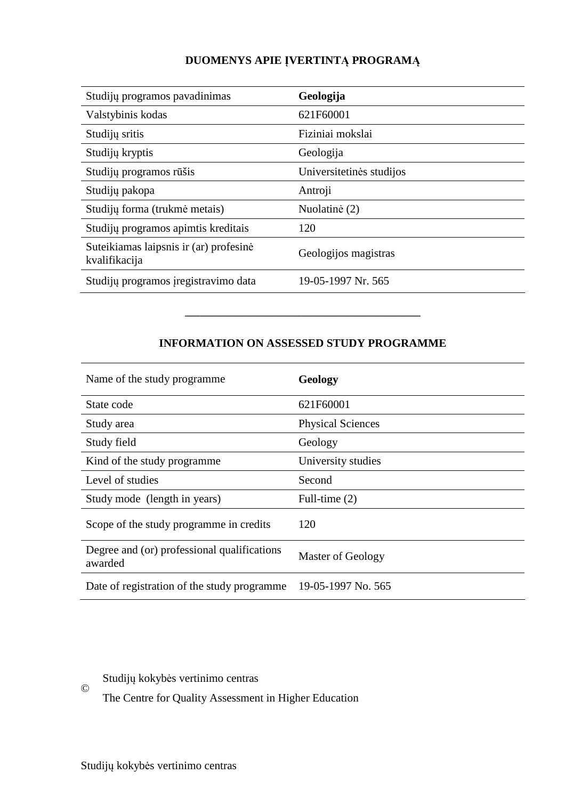# **DUOMENYS APIE ĮVERTINTĄ PROGRAMĄ**

| Studijų programos pavadinimas                           | Geologija                |
|---------------------------------------------------------|--------------------------|
| Valstybinis kodas                                       | 621F60001                |
| Studijų sritis                                          | Fiziniai mokslai         |
| Studijų kryptis                                         | Geologija                |
| Studijų programos rūšis                                 | Universitetinės studijos |
| Studijų pakopa                                          | Antroji                  |
| Studijų forma (trukmė metais)                           | Nuolatinė (2)            |
| Studijų programos apimtis kreditais                     | 120                      |
| Suteikiamas laipsnis ir (ar) profesinė<br>kvalifikacija | Geologijos magistras     |
| Studijų programos įregistravimo data                    | 19-05-1997 Nr. 565       |

# **INFORMATION ON ASSESSED STUDY PROGRAMME**

–––––––––––––––––––––––––––––––

| Name of the study programme.                           | Geology                  |
|--------------------------------------------------------|--------------------------|
| State code                                             | 621F60001                |
| Study area                                             | <b>Physical Sciences</b> |
| Study field                                            | Geology                  |
| Kind of the study programme.                           | University studies       |
| Level of studies                                       | Second                   |
| Study mode (length in years)                           | Full-time $(2)$          |
| Scope of the study programme in credits                | 120                      |
| Degree and (or) professional qualifications<br>awarded | Master of Geology        |
| Date of registration of the study programme            | 19-05-1997 No. 565       |

Studijų kokybės vertinimo centras

The Centre for Quality Assessment in Higher Education

©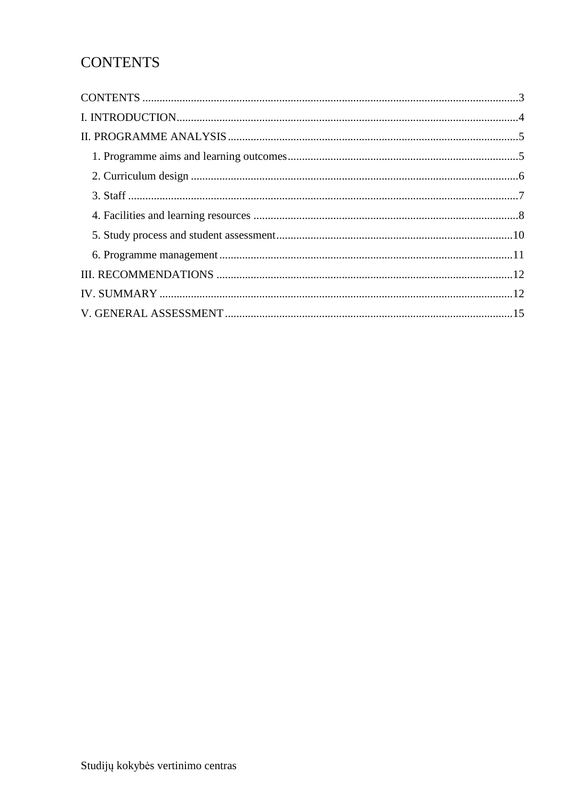# **CONTENTS**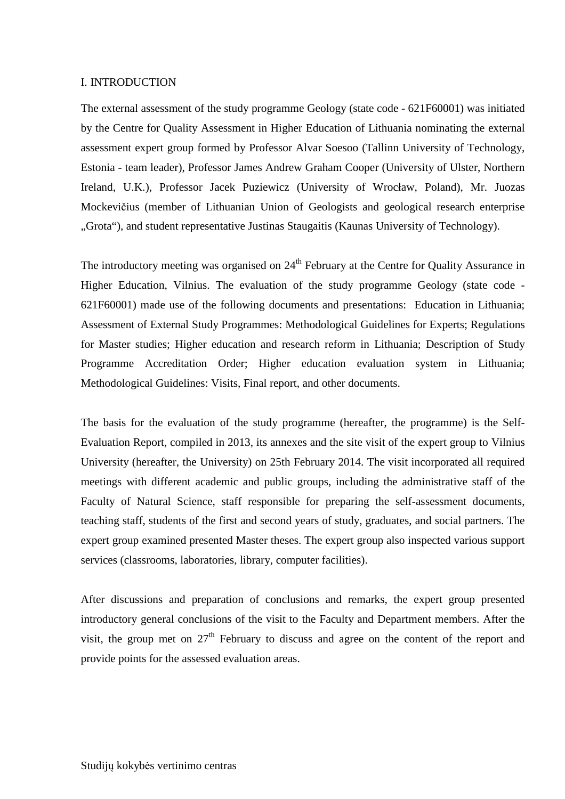#### I. INTRODUCTION

The external assessment of the study programme Geology (state code - 621F60001) was initiated by the Centre for Quality Assessment in Higher Education of Lithuania nominating the external assessment expert group formed by Professor Alvar Soesoo (Tallinn University of Technology, Estonia - team leader), Professor James Andrew Graham Cooper (University of Ulster, Northern Ireland, U.K.), Professor Jacek Puziewicz (University of Wrocław, Poland), Mr. Juozas Mockevičius (member of Lithuanian Union of Geologists and geological research enterprise "Grota"), and student representative Justinas Staugaitis (Kaunas University of Technology).

The introductory meeting was organised on 24<sup>th</sup> February at the Centre for Quality Assurance in Higher Education, Vilnius. The evaluation of the study programme Geology (state code - 621F60001) made use of the following documents and presentations: Education in Lithuania; Assessment of External Study Programmes: Methodological Guidelines for Experts; Regulations for Master studies; Higher education and research reform in Lithuania; Description of Study Programme Accreditation Order; Higher education evaluation system in Lithuania; Methodological Guidelines: Visits, Final report, and other documents.

The basis for the evaluation of the study programme (hereafter, the programme) is the Self-Evaluation Report, compiled in 2013, its annexes and the site visit of the expert group to Vilnius University (hereafter, the University) on 25th February 2014. The visit incorporated all required meetings with different academic and public groups, including the administrative staff of the Faculty of Natural Science, staff responsible for preparing the self-assessment documents, teaching staff, students of the first and second years of study, graduates, and social partners. The expert group examined presented Master theses. The expert group also inspected various support services (classrooms, laboratories, library, computer facilities).

After discussions and preparation of conclusions and remarks, the expert group presented introductory general conclusions of the visit to the Faculty and Department members. After the visit, the group met on  $27<sup>th</sup>$  February to discuss and agree on the content of the report and provide points for the assessed evaluation areas.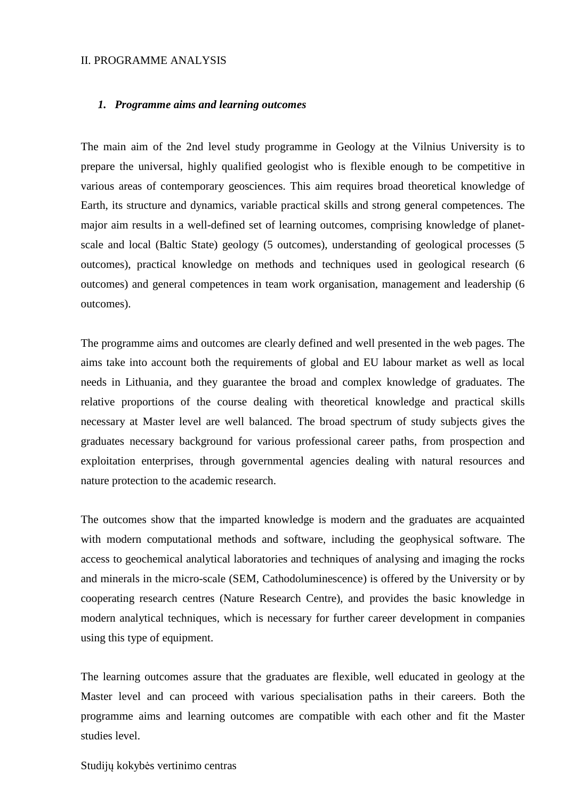#### II. PROGRAMME ANALYSIS

#### *1. Programme aims and learning outcomes*

The main aim of the 2nd level study programme in Geology at the Vilnius University is to prepare the universal, highly qualified geologist who is flexible enough to be competitive in various areas of contemporary geosciences. This aim requires broad theoretical knowledge of Earth, its structure and dynamics, variable practical skills and strong general competences. The major aim results in a well-defined set of learning outcomes, comprising knowledge of planetscale and local (Baltic State) geology (5 outcomes), understanding of geological processes (5 outcomes), practical knowledge on methods and techniques used in geological research (6 outcomes) and general competences in team work organisation, management and leadership (6 outcomes).

The programme aims and outcomes are clearly defined and well presented in the web pages. The aims take into account both the requirements of global and EU labour market as well as local needs in Lithuania, and they guarantee the broad and complex knowledge of graduates. The relative proportions of the course dealing with theoretical knowledge and practical skills necessary at Master level are well balanced. The broad spectrum of study subjects gives the graduates necessary background for various professional career paths, from prospection and exploitation enterprises, through governmental agencies dealing with natural resources and nature protection to the academic research.

The outcomes show that the imparted knowledge is modern and the graduates are acquainted with modern computational methods and software, including the geophysical software. The access to geochemical analytical laboratories and techniques of analysing and imaging the rocks and minerals in the micro-scale (SEM, Cathodoluminescence) is offered by the University or by cooperating research centres (Nature Research Centre), and provides the basic knowledge in modern analytical techniques, which is necessary for further career development in companies using this type of equipment.

The learning outcomes assure that the graduates are flexible, well educated in geology at the Master level and can proceed with various specialisation paths in their careers. Both the programme aims and learning outcomes are compatible with each other and fit the Master studies level.

Studijų kokybės vertinimo centras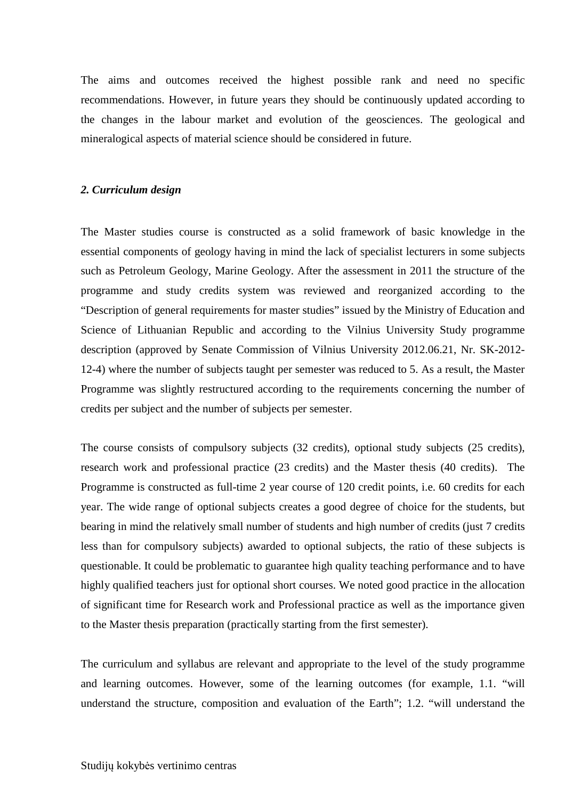The aims and outcomes received the highest possible rank and need no specific recommendations. However, in future years they should be continuously updated according to the changes in the labour market and evolution of the geosciences. The geological and mineralogical aspects of material science should be considered in future.

#### *2. Curriculum design*

The Master studies course is constructed as a solid framework of basic knowledge in the essential components of geology having in mind the lack of specialist lecturers in some subjects such as Petroleum Geology, Marine Geology. After the assessment in 2011 the structure of the programme and study credits system was reviewed and reorganized according to the "Description of general requirements for master studies" issued by the Ministry of Education and Science of Lithuanian Republic and according to the Vilnius University Study programme description (approved by Senate Commission of Vilnius University 2012.06.21, Nr. SK-2012- 12-4) where the number of subjects taught per semester was reduced to 5. As a result, the Master Programme was slightly restructured according to the requirements concerning the number of credits per subject and the number of subjects per semester.

The course consists of compulsory subjects (32 credits), optional study subjects (25 credits), research work and professional practice (23 credits) and the Master thesis (40 credits). The Programme is constructed as full-time 2 year course of 120 credit points, i.e. 60 credits for each year. The wide range of optional subjects creates a good degree of choice for the students, but bearing in mind the relatively small number of students and high number of credits (just 7 credits less than for compulsory subjects) awarded to optional subjects, the ratio of these subjects is questionable. It could be problematic to guarantee high quality teaching performance and to have highly qualified teachers just for optional short courses. We noted good practice in the allocation of significant time for Research work and Professional practice as well as the importance given to the Master thesis preparation (practically starting from the first semester).

The curriculum and syllabus are relevant and appropriate to the level of the study programme and learning outcomes. However, some of the learning outcomes (for example, 1.1. "will understand the structure, composition and evaluation of the Earth"; 1.2. "will understand the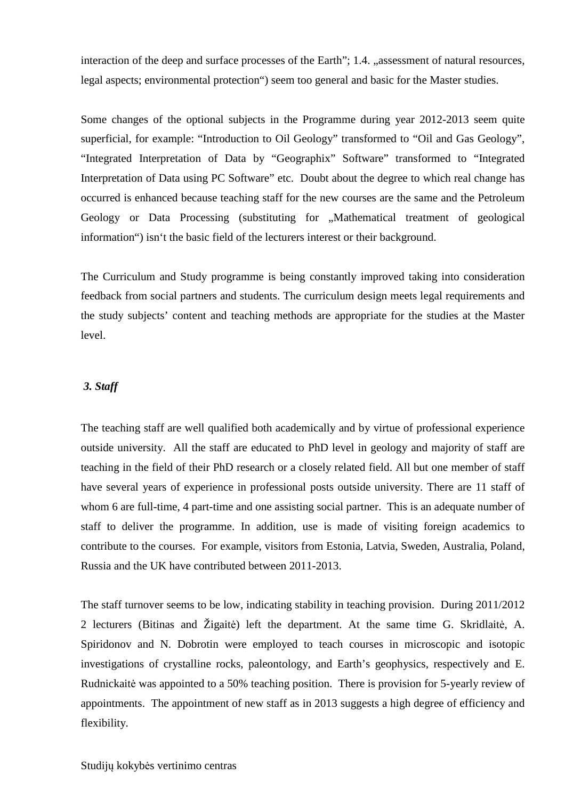interaction of the deep and surface processes of the Earth"; 1.4. "assessment of natural resources, legal aspects; environmental protection") seem too general and basic for the Master studies.

Some changes of the optional subjects in the Programme during year 2012-2013 seem quite superficial, for example: "Introduction to Oil Geology" transformed to "Oil and Gas Geology", "Integrated Interpretation of Data by "Geographix" Software" transformed to "Integrated Interpretation of Data using PC Software" etc. Doubt about the degree to which real change has occurred is enhanced because teaching staff for the new courses are the same and the Petroleum Geology or Data Processing (substituting for "Mathematical treatment of geological information") isn't the basic field of the lecturers interest or their background.

The Curriculum and Study programme is being constantly improved taking into consideration feedback from social partners and students. The curriculum design meets legal requirements and the study subjects' content and teaching methods are appropriate for the studies at the Master level.

### *3. Staff*

The teaching staff are well qualified both academically and by virtue of professional experience outside university. All the staff are educated to PhD level in geology and majority of staff are teaching in the field of their PhD research or a closely related field. All but one member of staff have several years of experience in professional posts outside university. There are 11 staff of whom 6 are full-time, 4 part-time and one assisting social partner. This is an adequate number of staff to deliver the programme. In addition, use is made of visiting foreign academics to contribute to the courses. For example, visitors from Estonia, Latvia, Sweden, Australia, Poland, Russia and the UK have contributed between 2011-2013.

The staff turnover seems to be low, indicating stability in teaching provision. During 2011/2012 2 lecturers (Bitinas and Žigaitė) left the department. At the same time G. Skridlaitė, A. Spiridonov and N. Dobrotin were employed to teach courses in microscopic and isotopic investigations of crystalline rocks, paleontology, and Earth's geophysics, respectively and E. Rudnickaitė was appointed to a 50% teaching position. There is provision for 5-yearly review of appointments. The appointment of new staff as in 2013 suggests a high degree of efficiency and flexibility.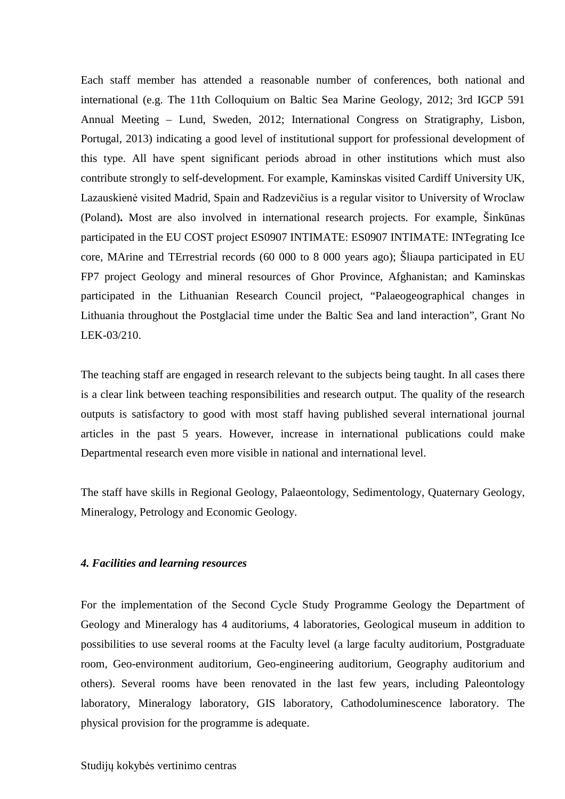Each staff member has attended a reasonable number of conferences, both national and international (e.g. The 11th Colloquium on Baltic Sea Marine Geology, 2012; 3rd IGCP 591 Annual Meeting – Lund, Sweden, 2012; International Congress on Stratigraphy, Lisbon, Portugal, 2013) indicating a good level of institutional support for professional development of this type. All have spent significant periods abroad in other institutions which must also contribute strongly to self-development. For example, Kaminskas visited Cardiff University UK, Lazauskienė visited Madrid, Spain and Radzevičius is a regular visitor to University of Wroclaw (Poland)**.** Most are also involved in international research projects. For example, Šinkūnas participated in the EU COST project ES0907 INTIMATE: ES0907 INTIMATE: INTegrating Ice core, MArine and TErrestrial records (60 000 to 8 000 years ago); Šliaupa participated in EU FP7 project Geology and mineral resources of Ghor Province, Afghanistan; and Kaminskas participated in the Lithuanian Research Council project, "Palaeogeographical changes in Lithuania throughout the Postglacial time under the Baltic Sea and land interaction", Grant No LEK-03/210.

The teaching staff are engaged in research relevant to the subjects being taught. In all cases there is a clear link between teaching responsibilities and research output. The quality of the research outputs is satisfactory to good with most staff having published several international journal articles in the past 5 years. However, increase in international publications could make Departmental research even more visible in national and international level.

The staff have skills in Regional Geology, Palaeontology, Sedimentology, Quaternary Geology, Mineralogy, Petrology and Economic Geology.

#### *4. Facilities and learning resources*

For the implementation of the Second Cycle Study Programme Geology the Department of Geology and Mineralogy has 4 auditoriums, 4 laboratories, Geological museum in addition to possibilities to use several rooms at the Faculty level (a large faculty auditorium, Postgraduate room, Geo-environment auditorium, Geo-engineering auditorium, Geography auditorium and others). Several rooms have been renovated in the last few years, including Paleontology laboratory, Mineralogy laboratory, GIS laboratory, Cathodoluminescence laboratory. The physical provision for the programme is adequate.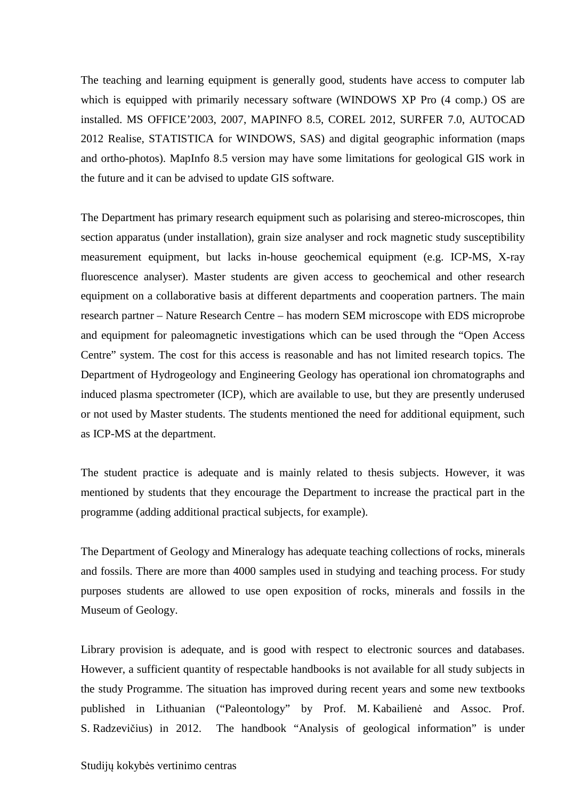The teaching and learning equipment is generally good, students have access to computer lab which is equipped with primarily necessary software (WINDOWS XP Pro (4 comp.) OS are installed. MS OFFICE'2003, 2007, MAPINFO 8.5, COREL 2012, SURFER 7.0, AUTOCAD 2012 Realise, STATISTICA for WINDOWS, SAS) and digital geographic information (maps and ortho-photos). MapInfo 8.5 version may have some limitations for geological GIS work in the future and it can be advised to update GIS software.

The Department has primary research equipment such as polarising and stereo-microscopes, thin section apparatus (under installation), grain size analyser and rock magnetic study susceptibility measurement equipment, but lacks in-house geochemical equipment (e.g. ICP-MS, X-ray fluorescence analyser). Master students are given access to geochemical and other research equipment on a collaborative basis at different departments and cooperation partners. The main research partner – Nature Research Centre – has modern SEM microscope with EDS microprobe and equipment for paleomagnetic investigations which can be used through the "Open Access Centre" system. The cost for this access is reasonable and has not limited research topics. The Department of Hydrogeology and Engineering Geology has operational ion chromatographs and induced plasma spectrometer (ICP), which are available to use, but they are presently underused or not used by Master students. The students mentioned the need for additional equipment, such as ICP-MS at the department.

The student practice is adequate and is mainly related to thesis subjects. However, it was mentioned by students that they encourage the Department to increase the practical part in the programme (adding additional practical subjects, for example).

The Department of Geology and Mineralogy has adequate teaching collections of rocks, minerals and fossils. There are more than 4000 samples used in studying and teaching process. For study purposes students are allowed to use open exposition of rocks, minerals and fossils in the Museum of Geology.

Library provision is adequate, and is good with respect to electronic sources and databases. However, a sufficient quantity of respectable handbooks is not available for all study subjects in the study Programme. The situation has improved during recent years and some new textbooks published in Lithuanian ("Paleontology" by Prof. M. Kabailienė and Assoc. Prof. S. Radzevičius) in 2012. The handbook "Analysis of geological information" is under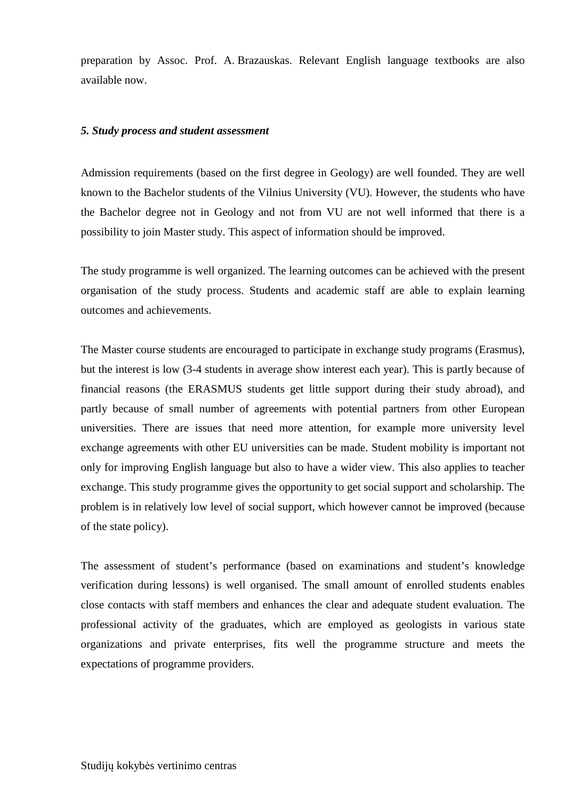preparation by Assoc. Prof. A. Brazauskas. Relevant English language textbooks are also available now.

#### *5. Study process and student assessment*

Admission requirements (based on the first degree in Geology) are well founded. They are well known to the Bachelor students of the Vilnius University (VU). However, the students who have the Bachelor degree not in Geology and not from VU are not well informed that there is a possibility to join Master study. This aspect of information should be improved.

The study programme is well organized. The learning outcomes can be achieved with the present organisation of the study process. Students and academic staff are able to explain learning outcomes and achievements.

The Master course students are encouraged to participate in exchange study programs (Erasmus), but the interest is low (3-4 students in average show interest each year). This is partly because of financial reasons (the ERASMUS students get little support during their study abroad), and partly because of small number of agreements with potential partners from other European universities. There are issues that need more attention, for example more university level exchange agreements with other EU universities can be made. Student mobility is important not only for improving English language but also to have a wider view. This also applies to teacher exchange. This study programme gives the opportunity to get social support and scholarship. The problem is in relatively low level of social support, which however cannot be improved (because of the state policy).

The assessment of student's performance (based on examinations and student's knowledge verification during lessons) is well organised. The small amount of enrolled students enables close contacts with staff members and enhances the clear and adequate student evaluation. The professional activity of the graduates, which are employed as geologists in various state organizations and private enterprises, fits well the programme structure and meets the expectations of programme providers.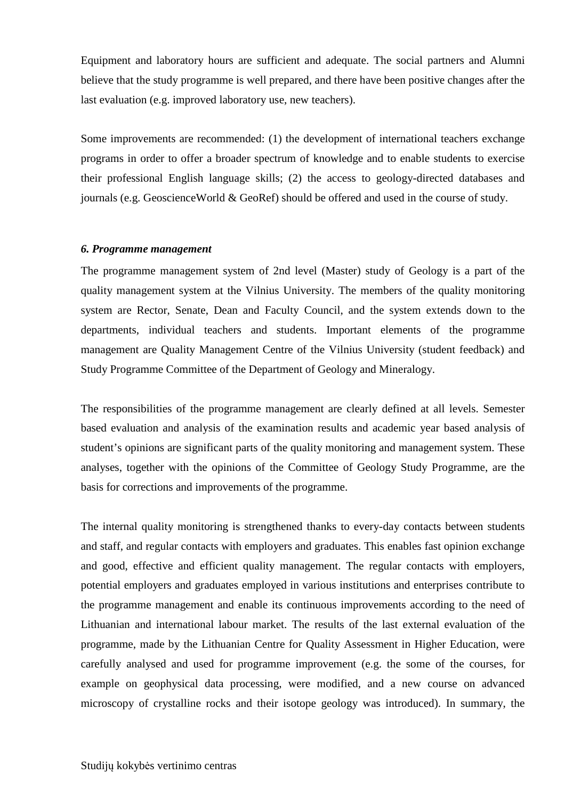Equipment and laboratory hours are sufficient and adequate. The social partners and Alumni believe that the study programme is well prepared, and there have been positive changes after the last evaluation (e.g. improved laboratory use, new teachers).

Some improvements are recommended: (1) the development of international teachers exchange programs in order to offer a broader spectrum of knowledge and to enable students to exercise their professional English language skills; (2) the access to geology-directed databases and journals (e.g. GeoscienceWorld & GeoRef) should be offered and used in the course of study.

#### *6. Programme management*

The programme management system of 2nd level (Master) study of Geology is a part of the quality management system at the Vilnius University. The members of the quality monitoring system are Rector, Senate, Dean and Faculty Council, and the system extends down to the departments, individual teachers and students. Important elements of the programme management are Quality Management Centre of the Vilnius University (student feedback) and Study Programme Committee of the Department of Geology and Mineralogy.

The responsibilities of the programme management are clearly defined at all levels. Semester based evaluation and analysis of the examination results and academic year based analysis of student's opinions are significant parts of the quality monitoring and management system. These analyses, together with the opinions of the Committee of Geology Study Programme, are the basis for corrections and improvements of the programme.

The internal quality monitoring is strengthened thanks to every-day contacts between students and staff, and regular contacts with employers and graduates. This enables fast opinion exchange and good, effective and efficient quality management. The regular contacts with employers, potential employers and graduates employed in various institutions and enterprises contribute to the programme management and enable its continuous improvements according to the need of Lithuanian and international labour market. The results of the last external evaluation of the programme, made by the Lithuanian Centre for Quality Assessment in Higher Education, were carefully analysed and used for programme improvement (e.g. the some of the courses, for example on geophysical data processing, were modified, and a new course on advanced microscopy of crystalline rocks and their isotope geology was introduced). In summary, the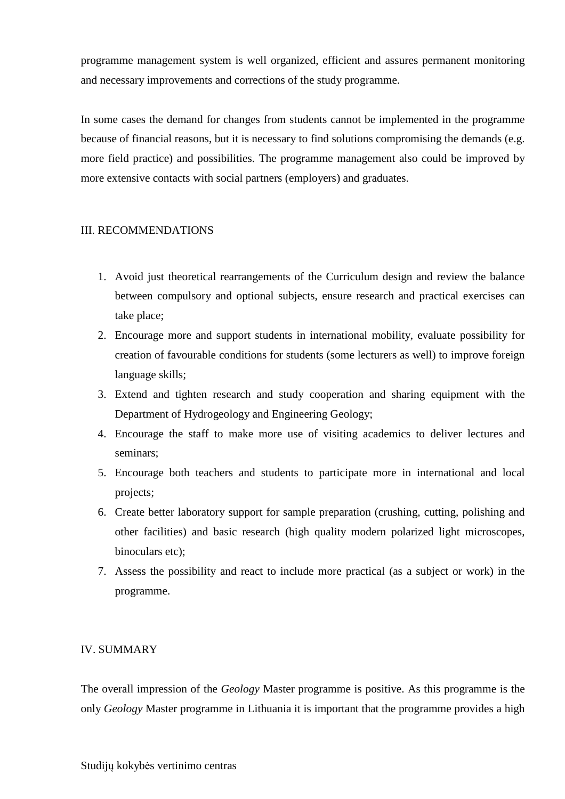programme management system is well organized, efficient and assures permanent monitoring and necessary improvements and corrections of the study programme.

In some cases the demand for changes from students cannot be implemented in the programme because of financial reasons, but it is necessary to find solutions compromising the demands (e.g. more field practice) and possibilities. The programme management also could be improved by more extensive contacts with social partners (employers) and graduates.

## III. RECOMMENDATIONS

- 1. Avoid just theoretical rearrangements of the Curriculum design and review the balance between compulsory and optional subjects, ensure research and practical exercises can take place;
- 2. Encourage more and support students in international mobility, evaluate possibility for creation of favourable conditions for students (some lecturers as well) to improve foreign language skills;
- 3. Extend and tighten research and study cooperation and sharing equipment with the Department of Hydrogeology and Engineering Geology;
- 4. Encourage the staff to make more use of visiting academics to deliver lectures and seminars;
- 5. Encourage both teachers and students to participate more in international and local projects;
- 6. Create better laboratory support for sample preparation (crushing, cutting, polishing and other facilities) and basic research (high quality modern polarized light microscopes, binoculars etc):
- 7. Assess the possibility and react to include more practical (as a subject or work) in the programme.

## IV. SUMMARY

The overall impression of the *Geology* Master programme is positive. As this programme is the only *Geology* Master programme in Lithuania it is important that the programme provides a high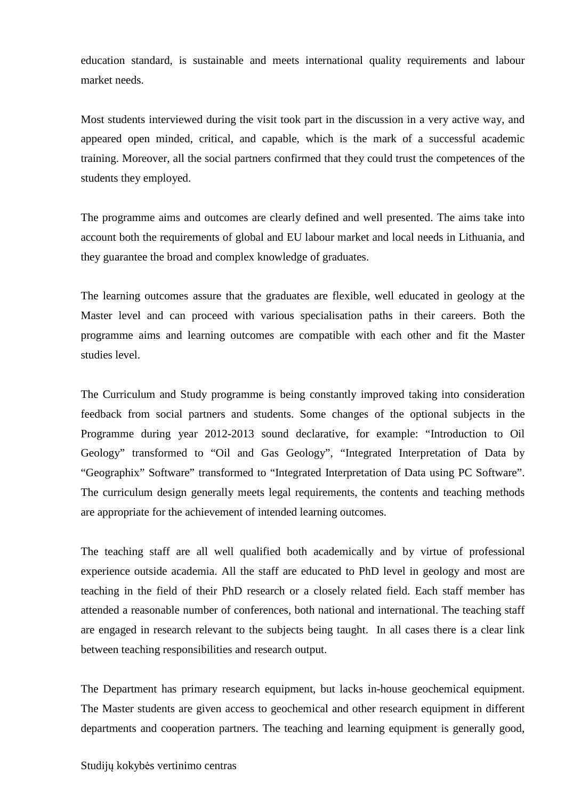education standard, is sustainable and meets international quality requirements and labour market needs.

Most students interviewed during the visit took part in the discussion in a very active way, and appeared open minded, critical, and capable, which is the mark of a successful academic training. Moreover, all the social partners confirmed that they could trust the competences of the students they employed.

The programme aims and outcomes are clearly defined and well presented. The aims take into account both the requirements of global and EU labour market and local needs in Lithuania, and they guarantee the broad and complex knowledge of graduates.

The learning outcomes assure that the graduates are flexible, well educated in geology at the Master level and can proceed with various specialisation paths in their careers. Both the programme aims and learning outcomes are compatible with each other and fit the Master studies level.

The Curriculum and Study programme is being constantly improved taking into consideration feedback from social partners and students. Some changes of the optional subjects in the Programme during year 2012-2013 sound declarative, for example: "Introduction to Oil Geology" transformed to "Oil and Gas Geology", "Integrated Interpretation of Data by "Geographix" Software" transformed to "Integrated Interpretation of Data using PC Software". The curriculum design generally meets legal requirements, the contents and teaching methods are appropriate for the achievement of intended learning outcomes.

The teaching staff are all well qualified both academically and by virtue of professional experience outside academia. All the staff are educated to PhD level in geology and most are teaching in the field of their PhD research or a closely related field. Each staff member has attended a reasonable number of conferences, both national and international. The teaching staff are engaged in research relevant to the subjects being taught. In all cases there is a clear link between teaching responsibilities and research output.

The Department has primary research equipment, but lacks in-house geochemical equipment. The Master students are given access to geochemical and other research equipment in different departments and cooperation partners. The teaching and learning equipment is generally good,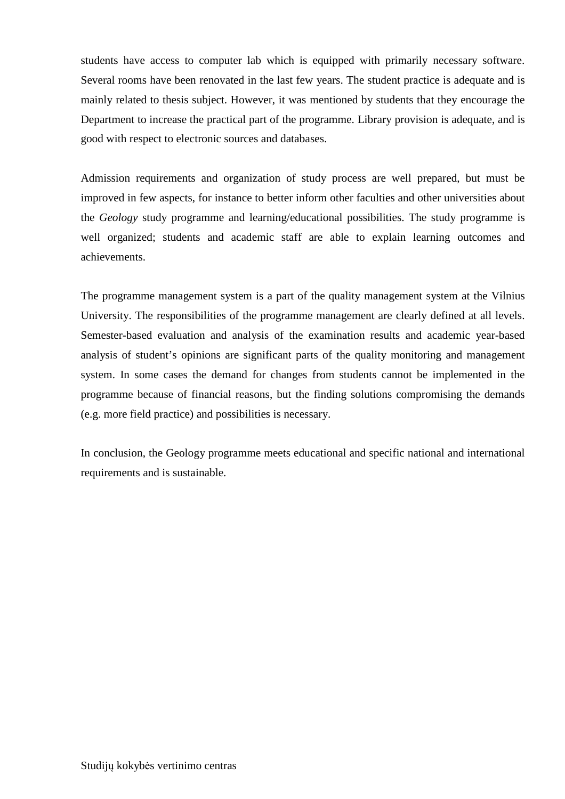students have access to computer lab which is equipped with primarily necessary software. Several rooms have been renovated in the last few years. The student practice is adequate and is mainly related to thesis subject. However, it was mentioned by students that they encourage the Department to increase the practical part of the programme. Library provision is adequate, and is good with respect to electronic sources and databases.

Admission requirements and organization of study process are well prepared, but must be improved in few aspects, for instance to better inform other faculties and other universities about the *Geology* study programme and learning/educational possibilities. The study programme is well organized; students and academic staff are able to explain learning outcomes and achievements.

The programme management system is a part of the quality management system at the Vilnius University. The responsibilities of the programme management are clearly defined at all levels. Semester-based evaluation and analysis of the examination results and academic year-based analysis of student's opinions are significant parts of the quality monitoring and management system. In some cases the demand for changes from students cannot be implemented in the programme because of financial reasons, but the finding solutions compromising the demands (e.g. more field practice) and possibilities is necessary.

In conclusion, the Geology programme meets educational and specific national and international requirements and is sustainable.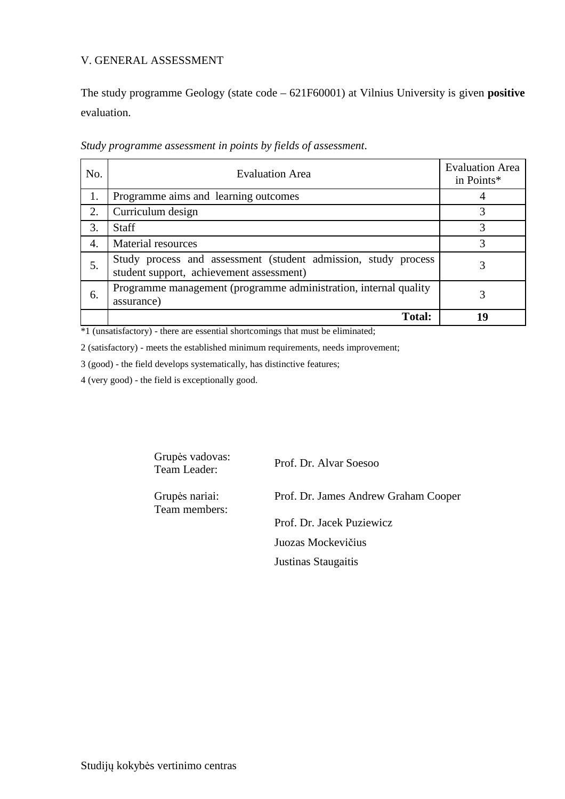## V. GENERAL ASSESSMENT

The study programme Geology (state code – 621F60001) at Vilnius University is given **positive** evaluation.

| No. | <b>Evaluation Area</b>                                                                                     | <b>Evaluation Area</b><br>in Points* |
|-----|------------------------------------------------------------------------------------------------------------|--------------------------------------|
| 1.  | Programme aims and learning outcomes                                                                       |                                      |
| 2.  | Curriculum design                                                                                          | 3                                    |
| 3.  | <b>Staff</b>                                                                                               | 3                                    |
| 4.  | <b>Material resources</b>                                                                                  | 3                                    |
| 5.  | Study process and assessment (student admission, study process<br>student support, achievement assessment) |                                      |
| 6.  | Programme management (programme administration, internal quality<br>assurance)                             |                                      |
|     | <b>Total:</b>                                                                                              | 19                                   |

*Study programme assessment in points by fields of assessment*.

\*1 (unsatisfactory) - there are essential shortcomings that must be eliminated;

2 (satisfactory) - meets the established minimum requirements, needs improvement;

3 (good) - the field develops systematically, has distinctive features;

4 (very good) - the field is exceptionally good.

Grupės vadovas:<br>Team Leader:

Prof. Dr. Alvar Soesoo

Grupės nariai: Team members: Prof. Dr. James Andrew Graham Cooper

Prof. Dr. Jacek Puziewicz

Juozas Mockevičius

Justinas Staugaitis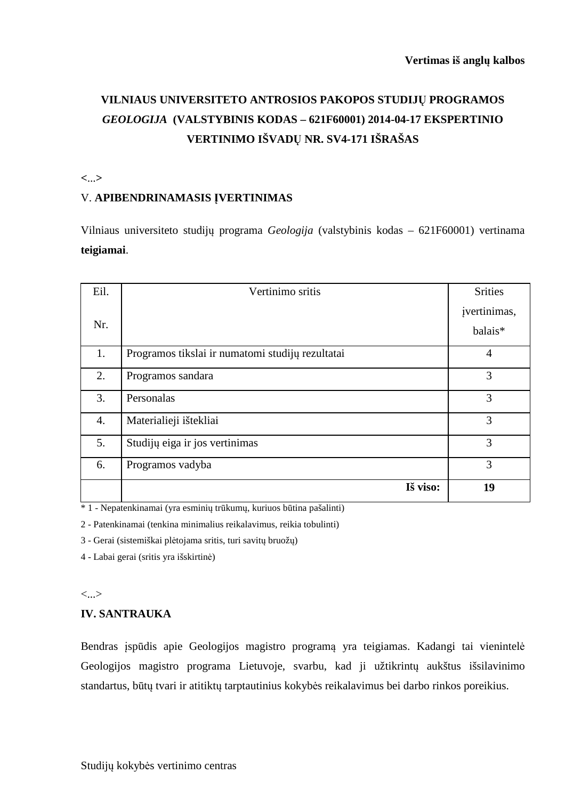# **VILNIAUS UNIVERSITETO ANTROSIOS PAKOPOS STUDIJŲ PROGRAMOS**  *GEOLOGIJA* **(VALSTYBINIS KODAS – 621F60001) 2014-04-17 EKSPERTINIO VERTINIMO IŠVADŲ NR. SV4-171 IŠRAŠAS**

**<**...**>** 

# V. **APIBENDRINAMASIS ĮVERTINIMAS**

Vilniaus universiteto studijų programa *Geologija* (valstybinis kodas – 621F60001) vertinama **teigiamai**.

| Eil. | Vertinimo sritis                                 | <b>Srities</b>          |
|------|--------------------------------------------------|-------------------------|
| Nr.  |                                                  | jvertinimas,<br>balais* |
| 1.   | Programos tikslai ir numatomi studijų rezultatai | $\overline{4}$          |
| 2.   | Programos sandara                                | 3                       |
| 3.   | Personalas                                       | 3                       |
| 4.   | Materialieji ištekliai                           | 3                       |
| 5.   | Studijų eiga ir jos vertinimas                   | 3                       |
| 6.   | Programos vadyba                                 | 3                       |
|      | Iš viso:                                         | 19                      |

\* 1 - Nepatenkinamai (yra esminių trūkumų, kuriuos būtina pašalinti)

2 - Patenkinamai (tenkina minimalius reikalavimus, reikia tobulinti)

3 - Gerai (sistemiškai plėtojama sritis, turi savitų bruožų)

4 - Labai gerai (sritis yra išskirtinė)

<...>

## **IV. SANTRAUKA**

Bendras įspūdis apie Geologijos magistro programą yra teigiamas. Kadangi tai vienintelė Geologijos magistro programa Lietuvoje, svarbu, kad ji užtikrintų aukštus išsilavinimo standartus, būtų tvari ir atitiktų tarptautinius kokybės reikalavimus bei darbo rinkos poreikius.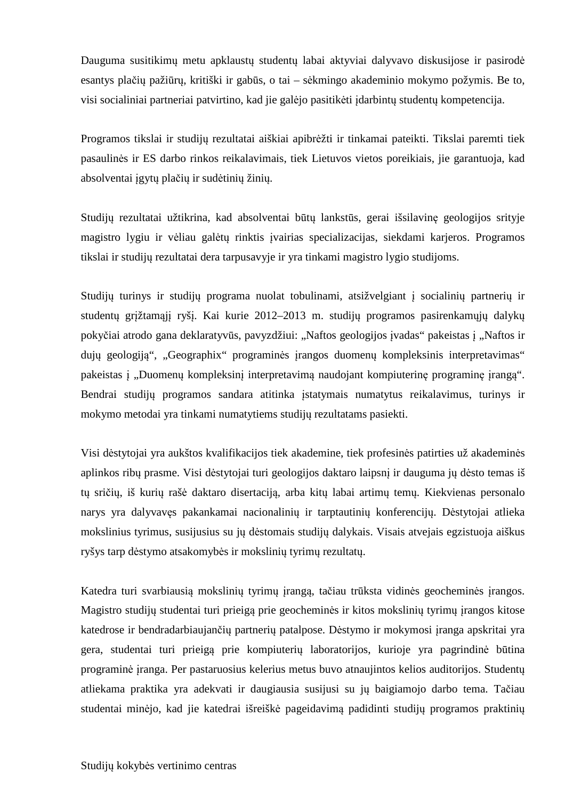Dauguma susitikimų metu apklaustų studentų labai aktyviai dalyvavo diskusijose ir pasirodė esantys plačių pažiūrų, kritiški ir gabūs, o tai – sėkmingo akademinio mokymo požymis. Be to, visi socialiniai partneriai patvirtino, kad jie galėjo pasitikėti įdarbintų studentų kompetencija.

Programos tikslai ir studijų rezultatai aiškiai apibrėžti ir tinkamai pateikti. Tikslai paremti tiek pasaulinės ir ES darbo rinkos reikalavimais, tiek Lietuvos vietos poreikiais, jie garantuoja, kad absolventai įgytų plačių ir sudėtinių žinių.

Studijų rezultatai užtikrina, kad absolventai būtų lankstūs, gerai išsilavinę geologijos srityje magistro lygiu ir vėliau galėtų rinktis įvairias specializacijas, siekdami karjeros. Programos tikslai ir studijų rezultatai dera tarpusavyje ir yra tinkami magistro lygio studijoms.

Studijų turinys ir studijų programa nuolat tobulinami, atsižvelgiant į socialinių partnerių ir studentų grįžtamąjį ryšį. Kai kurie 2012–2013 m. studijų programos pasirenkamųjų dalykų pokyčiai atrodo gana deklaratyvūs, pavyzdžiui: "Naftos geologijos įvadas" pakeistas į "Naftos ir dujų geologiją", "Geographix" programinės įrangos duomenų kompleksinis interpretavimas" pakeistas į "Duomenų kompleksinį interpretavimą naudojant kompiuterinę programinę įrangą". Bendrai studijų programos sandara atitinka įstatymais numatytus reikalavimus, turinys ir mokymo metodai yra tinkami numatytiems studijų rezultatams pasiekti.

Visi dėstytojai yra aukštos kvalifikacijos tiek akademine, tiek profesinės patirties už akademinės aplinkos ribų prasme. Visi dėstytojai turi geologijos daktaro laipsnį ir dauguma jų dėsto temas iš tų sričių, iš kurių rašė daktaro disertaciją, arba kitų labai artimų temų. Kiekvienas personalo narys yra dalyvavęs pakankamai nacionalinių ir tarptautinių konferencijų. Dėstytojai atlieka mokslinius tyrimus, susijusius su jų dėstomais studijų dalykais. Visais atvejais egzistuoja aiškus ryšys tarp dėstymo atsakomybės ir mokslinių tyrimų rezultatų.

Katedra turi svarbiausią mokslinių tyrimų įrangą, tačiau trūksta vidinės geocheminės įrangos. Magistro studijų studentai turi prieigą prie geocheminės ir kitos mokslinių tyrimų įrangos kitose katedrose ir bendradarbiaujančių partnerių patalpose. Dėstymo ir mokymosi įranga apskritai yra gera, studentai turi prieigą prie kompiuterių laboratorijos, kurioje yra pagrindinė būtina programinė įranga. Per pastaruosius kelerius metus buvo atnaujintos kelios auditorijos. Studentų atliekama praktika yra adekvati ir daugiausia susijusi su jų baigiamojo darbo tema. Tačiau studentai minėjo, kad jie katedrai išreiškė pageidavimą padidinti studijų programos praktinių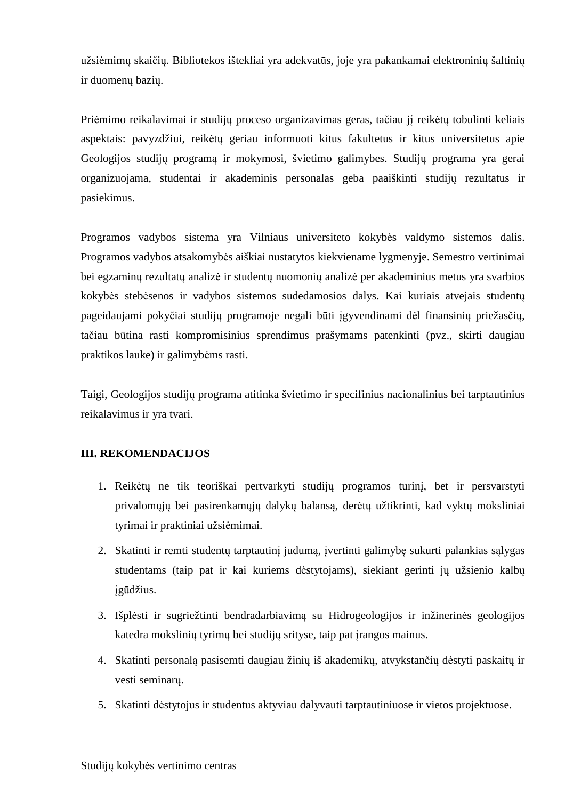užsiėmimų skaičių. Bibliotekos ištekliai yra adekvatūs, joje yra pakankamai elektroninių šaltinių ir duomenų bazių.

Priėmimo reikalavimai ir studijų proceso organizavimas geras, tačiau jį reikėtų tobulinti keliais aspektais: pavyzdžiui, reikėtų geriau informuoti kitus fakultetus ir kitus universitetus apie Geologijos studijų programą ir mokymosi, švietimo galimybes. Studijų programa yra gerai organizuojama, studentai ir akademinis personalas geba paaiškinti studijų rezultatus ir pasiekimus.

Programos vadybos sistema yra Vilniaus universiteto kokybės valdymo sistemos dalis. Programos vadybos atsakomybės aiškiai nustatytos kiekviename lygmenyje. Semestro vertinimai bei egzaminų rezultatų analizė ir studentų nuomonių analizė per akademinius metus yra svarbios kokybės stebėsenos ir vadybos sistemos sudedamosios dalys. Kai kuriais atvejais studentų pageidaujami pokyčiai studijų programoje negali būti įgyvendinami dėl finansinių priežasčių, tačiau būtina rasti kompromisinius sprendimus prašymams patenkinti (pvz., skirti daugiau praktikos lauke) ir galimybėms rasti.

Taigi, Geologijos studijų programa atitinka švietimo ir specifinius nacionalinius bei tarptautinius reikalavimus ir yra tvari.

# **III. REKOMENDACIJOS**

- 1. Reikėtų ne tik teoriškai pertvarkyti studijų programos turinį, bet ir persvarstyti privalomųjų bei pasirenkamųjų dalykų balansą, derėtų užtikrinti, kad vyktų moksliniai tyrimai ir praktiniai užsiėmimai.
- 2. Skatinti ir remti studentų tarptautinį judumą, įvertinti galimybę sukurti palankias sąlygas studentams (taip pat ir kai kuriems dėstytojams), siekiant gerinti jų užsienio kalbų įgūdžius.
- 3. Išplėsti ir sugriežtinti bendradarbiavimą su Hidrogeologijos ir inžinerinės geologijos katedra mokslinių tyrimų bei studijų srityse, taip pat įrangos mainus.
- 4. Skatinti personalą pasisemti daugiau žinių iš akademikų, atvykstančių dėstyti paskaitų ir vesti seminarų.
- 5. Skatinti dėstytojus ir studentus aktyviau dalyvauti tarptautiniuose ir vietos projektuose.